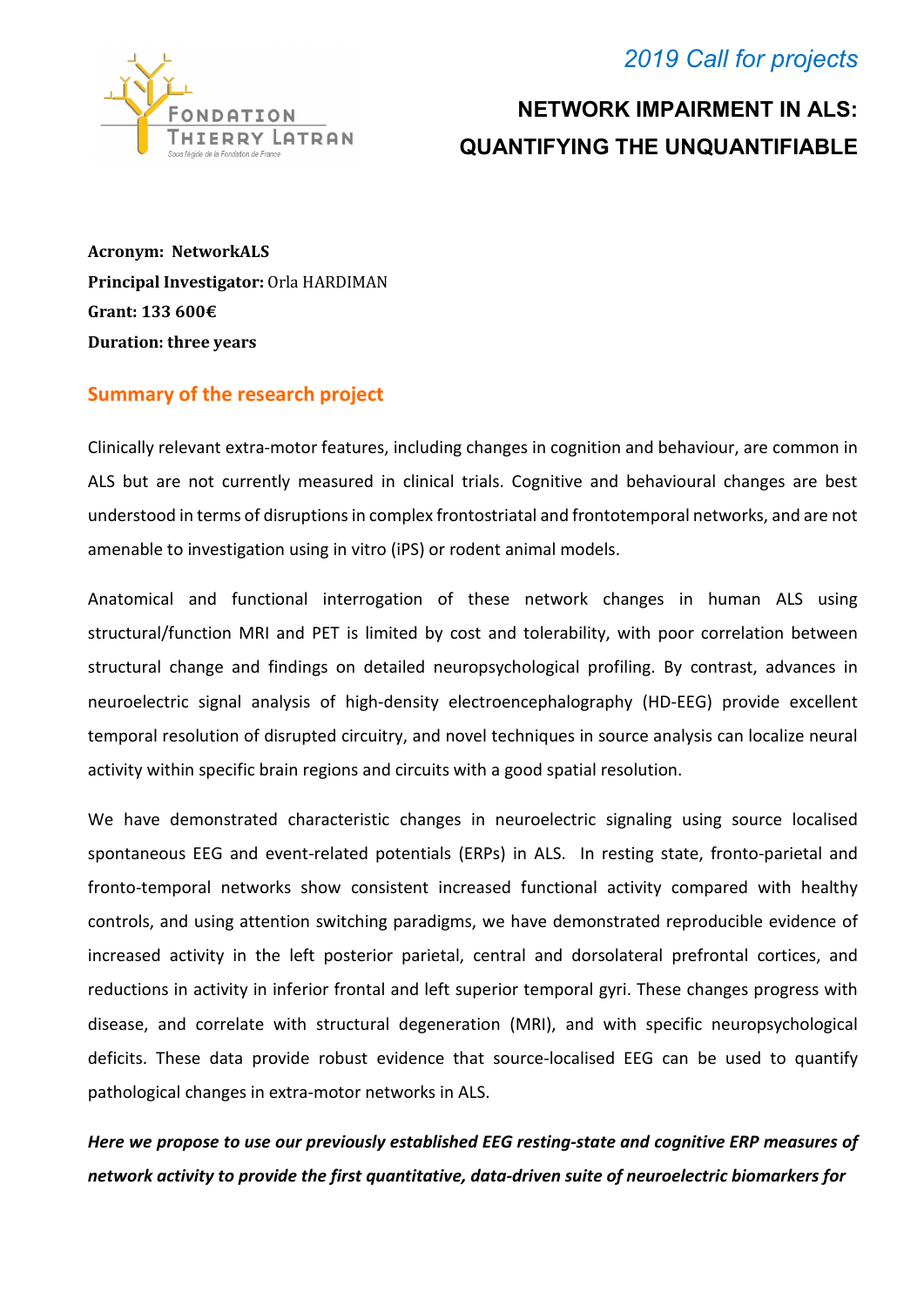### *2019 Call for projects*



# **NETWORK IMPAIRMENT IN ALS: QUANTIFYING THE UNQUANTIFIABLE**

**Acronym: NetworkALS Principal Investigator:** Orla HARDIMAN **Grant: 133 600€ Duration: three years**

#### **Summary of the research project**

Clinically relevant extra-motor features, including changes in cognition and behaviour, are common in ALS but are not currently measured in clinical trials. Cognitive and behavioural changes are best understood in terms of disruptions in complex frontostriatal and frontotemporal networks, and are not amenable to investigation using in vitro (iPS) or rodent animal models.

Anatomical and functional interrogation of these network changes in human ALS using structural/function MRI and PET is limited by cost and tolerability, with poor correlation between structural change and findings on detailed neuropsychological profiling. By contrast, advances in neuroelectric signal analysis of high-density electroencephalography (HD-EEG) provide excellent temporal resolution of disrupted circuitry, and novel techniques in source analysis can localize neural activity within specific brain regions and circuits with a good spatial resolution.

We have demonstrated characteristic changes in neuroelectric signaling using source localised spontaneous EEG and event-related potentials (ERPs) in ALS. In resting state, fronto-parietal and fronto-temporal networks show consistent increased functional activity compared with healthy controls, and using attention switching paradigms, we have demonstrated reproducible evidence of increased activity in the left posterior parietal, central and dorsolateral prefrontal cortices, and reductions in activity in inferior frontal and left superior temporal gyri. These changes progress with disease, and correlate with structural degeneration (MRI), and with specific neuropsychological deficits. These data provide robust evidence that source-localised EEG can be used to quantify pathological changes in extra-motor networks in ALS.

*Here we propose to use our previously established EEG resting-state and cognitive ERP measures of network activity to provide the first quantitative, data-driven suite of neuroelectric biomarkers for*